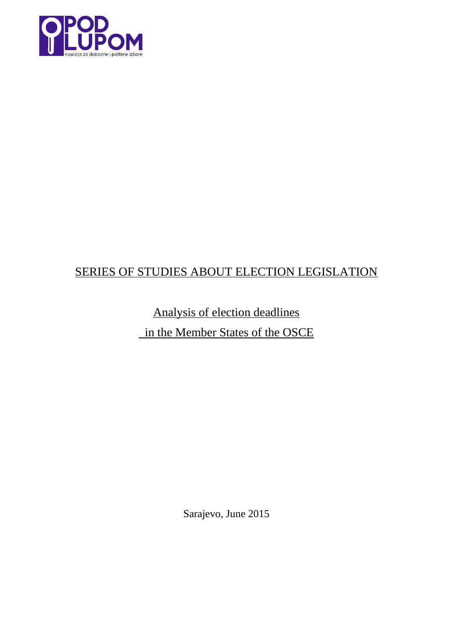

# SERIES OF STUDIES ABOUT ELECTION LEGISLATION

Analysis of election deadlines in the Member States of the OSCE

Sarajevo, June 2015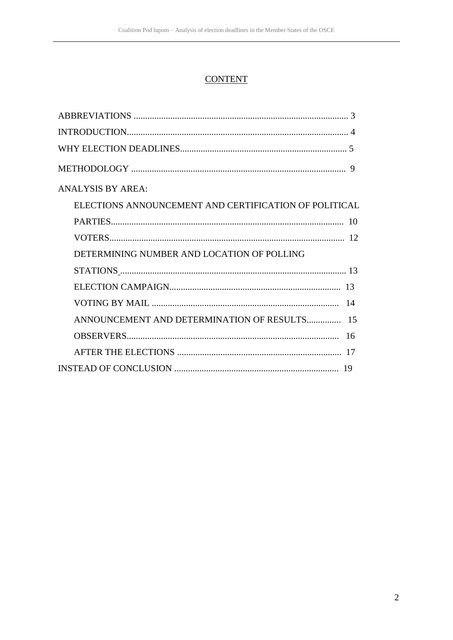# **CONTENT**

| <b>ANALYSIS BY AREA:</b>                              |
|-------------------------------------------------------|
| ELECTIONS ANNOUNCEMENT AND CERTIFICATION OF POLITICAL |
|                                                       |
|                                                       |
| DETERMINING NUMBER AND LOCATION OF POLLING            |
|                                                       |
|                                                       |
|                                                       |
|                                                       |
|                                                       |
|                                                       |
|                                                       |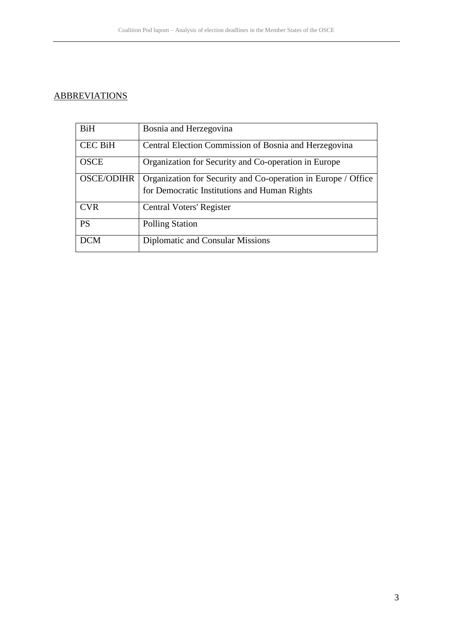# **ABBREVIATIONS**

| <b>BiH</b>        | Bosnia and Herzegovina                                        |
|-------------------|---------------------------------------------------------------|
| <b>CEC BiH</b>    | Central Election Commission of Bosnia and Herzegovina         |
| <b>OSCE</b>       | Organization for Security and Co-operation in Europe          |
| <b>OSCE/ODIHR</b> | Organization for Security and Co-operation in Europe / Office |
|                   | for Democratic Institutions and Human Rights                  |
| <b>CVR</b>        | Central Voters' Register                                      |
| <b>PS</b>         | <b>Polling Station</b>                                        |
| <b>DCM</b>        | Diplomatic and Consular Missions                              |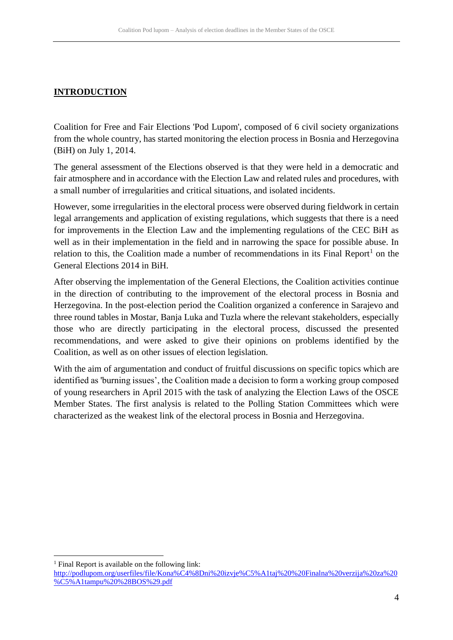# **INTRODUCTION**

Coalition for Free and Fair Elections 'Pod Lupom', composed of 6 civil society organizations from the whole country, has started monitoring the election process in Bosnia and Herzegovina (BiH) on July 1, 2014.

The general assessment of the Elections observed is that they were held in a democratic and fair atmosphere and in accordance with the Election Law and related rules and procedures, with a small number of irregularities and critical situations, and isolated incidents.

However, some irregularities in the electoral process were observed during fieldwork in certain legal arrangements and application of existing regulations, which suggests that there is a need for improvements in the Election Law and the implementing regulations of the CEC BiH as well as in their implementation in the field and in narrowing the space for possible abuse. In relation to this, the Coalition made a number of recommendations in its Final Report<sup>1</sup> on the General Elections 2014 in BiH.

After observing the implementation of the General Elections, the Coalition activities continue in the direction of contributing to the improvement of the electoral process in Bosnia and Herzegovina. In the post-election period the Coalition organized a conference in Sarajevo and three round tables in Mostar, Banja Luka and Tuzla where the relevant stakeholders, especially those who are directly participating in the electoral process, discussed the presented recommendations, and were asked to give their opinions on problems identified by the Coalition, as well as on other issues of election legislation.

With the aim of argumentation and conduct of fruitful discussions on specific topics which are identified as 'burning issues', the Coalition made a decision to form a working group composed of young researchers in April 2015 with the task of analyzing the Election Laws of the OSCE Member States. The first analysis is related to the Polling Station Committees which were characterized as the weakest link of the electoral process in Bosnia and Herzegovina.

<sup>1</sup> Final Report is available on the following link:

1

[http://podlupom.org/userfiles/file/Kona%C4%8Dni%20izvje%C5%A1taj%20%20Finalna%20verzija%20za%20](http://podlupom.org/userfiles/file/Kona%C4%8Dni%20izvje%C5%A1taj%20%20Finalna%20verzija%20za%20%C5%A1tampu%20%28BOS%29.pdf) [%C5%A1tampu%20%28BOS%29.pdf](http://podlupom.org/userfiles/file/Kona%C4%8Dni%20izvje%C5%A1taj%20%20Finalna%20verzija%20za%20%C5%A1tampu%20%28BOS%29.pdf)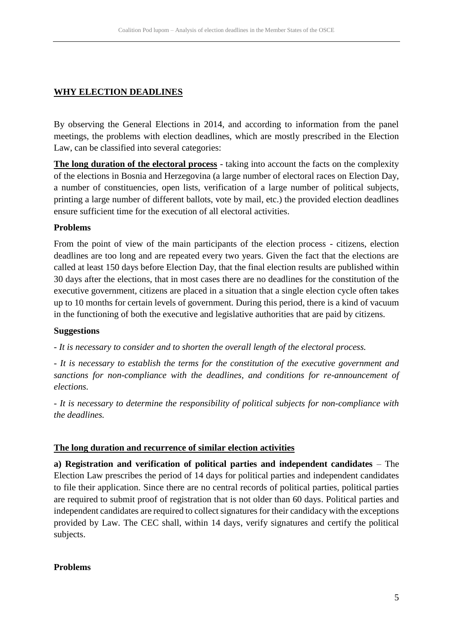# **WHY ELECTION DEADLINES**

By observing the General Elections in 2014, and according to information from the panel meetings, the problems with election deadlines, which are mostly prescribed in the Election Law, can be classified into several categories:

**The long duration of the electoral process** - taking into account the facts on the complexity of the elections in Bosnia and Herzegovina (a large number of electoral races on Election Day, a number of constituencies, open lists, verification of a large number of political subjects, printing a large number of different ballots, vote by mail, etc.) the provided election deadlines ensure sufficient time for the execution of all electoral activities.

### **Problems**

From the point of view of the main participants of the election process - citizens, election deadlines are too long and are repeated every two years. Given the fact that the elections are called at least 150 days before Election Day, that the final election results are published within 30 days after the elections, that in most cases there are no deadlines for the constitution of the executive government, citizens are placed in a situation that a single election cycle often takes up to 10 months for certain levels of government. During this period, there is a kind of vacuum in the functioning of both the executive and legislative authorities that are paid by citizens.

### **Suggestions**

*- It is necessary to consider and to shorten the overall length of the electoral process.*

*- It is necessary to establish the terms for the constitution of the executive government and sanctions for non-compliance with the deadlines, and conditions for re-announcement of elections.*

*- It is necessary to determine the responsibility of political subjects for non-compliance with the deadlines.*

## **The long duration and recurrence of similar election activities**

**a) Registration and verification of political parties and independent candidates** – The Election Law prescribes the period of 14 days for political parties and independent candidates to file their application. Since there are no central records of political parties, political parties are required to submit proof of registration that is not older than 60 days. Political parties and independent candidates are required to collect signatures for their candidacy with the exceptions provided by Law. The CEC shall, within 14 days, verify signatures and certify the political subjects.

### **Problems**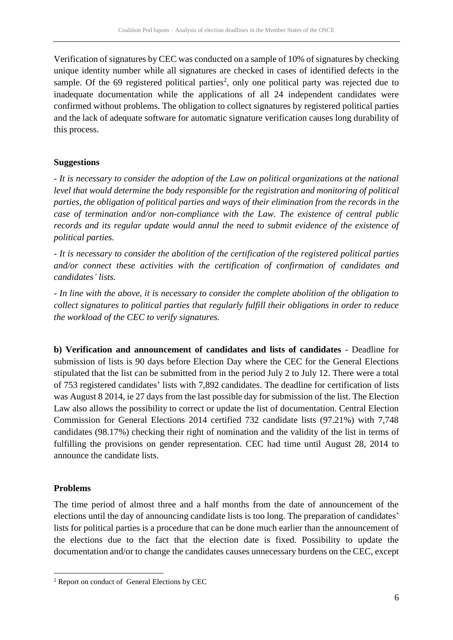Verification of signatures by CEC was conducted on a sample of 10% of signatures by checking unique identity number while all signatures are checked in cases of identified defects in the sample. Of the  $69$  registered political parties<sup>2</sup>, only one political party was rejected due to inadequate documentation while the applications of all 24 independent candidates were confirmed without problems. The obligation to collect signatures by registered political parties and the lack of adequate software for automatic signature verification causes long durability of this process.

## **Suggestions**

*- It is necessary to consider the adoption of the Law on political organizations at the national level that would determine the body responsible for the registration and monitoring of political parties, the obligation of political parties and ways of their elimination from the records in the case of termination and/or non-compliance with the Law. The existence of central public records and its regular update would annul the need to submit evidence of the existence of political parties.*

*- It is necessary to consider the abolition of the certification of the registered political parties and/or connect these activities with the certification of confirmation of candidates and candidates' lists.*

*- In line with the above, it is necessary to consider the complete abolition of the obligation to collect signatures to political parties that regularly fulfill their obligations in order to reduce the workload of the CEC to verify signatures.*

**b) Verification and announcement of candidates and lists of candidates** - Deadline for submission of lists is 90 days before Election Day where the CEC for the General Elections stipulated that the list can be submitted from in the period July 2 to July 12. There were a total of 753 registered candidates' lists with 7,892 candidates. The deadline for certification of lists was August 8 2014, ie 27 days from the last possible day for submission of the list. The Election Law also allows the possibility to correct or update the list of documentation. Central Election Commission for General Elections 2014 certified 732 candidate lists (97.21%) with 7,748 candidates (98.17%) checking their right of nomination and the validity of the list in terms of fulfilling the provisions on gender representation. CEC had time until August 28, 2014 to announce the candidate lists.

## **Problems**

1

The time period of almost three and a half months from the date of announcement of the elections until the day of announcing candidate lists is too long. The preparation of candidates' lists for political parties is a procedure that can be done much earlier than the announcement of the elections due to the fact that the election date is fixed. Possibility to update the documentation and/or to change the candidates causes unnecessary burdens on the CEC, except

<sup>2</sup> Report on conduct of General Elections by CEC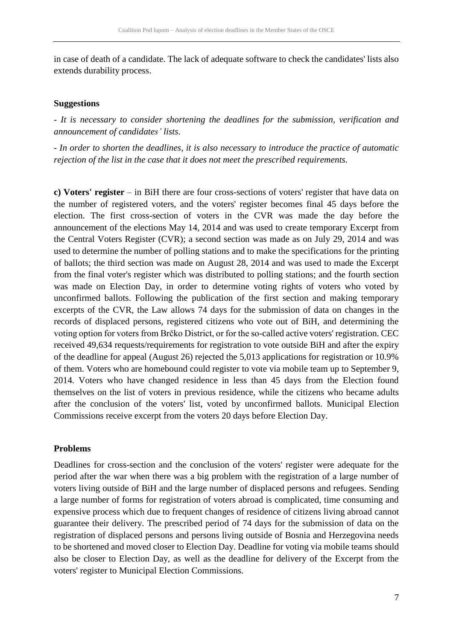in case of death of a candidate. The lack of adequate software to check the candidates' lists also extends durability process.

#### **Suggestions**

*- It is necessary to consider shortening the deadlines for the submission, verification and announcement of candidates' lists.*

*- In order to shorten the deadlines, it is also necessary to introduce the practice of automatic rejection of the list in the case that it does not meet the prescribed requirements.*

**c) Voters' register** – in BiH there are four cross-sections of voters' register that have data on the number of registered voters, and the voters' register becomes final 45 days before the election. The first cross-section of voters in the CVR was made the day before the announcement of the elections May 14, 2014 and was used to create temporary Excerpt from the Central Voters Register (CVR); a second section was made as on July 29, 2014 and was used to determine the number of polling stations and to make the specifications for the printing of ballots; the third section was made on August 28, 2014 and was used to made the Excerpt from the final voter's register which was distributed to polling stations; and the fourth section was made on Election Day, in order to determine voting rights of voters who voted by unconfirmed ballots. Following the publication of the first section and making temporary excerpts of the CVR, the Law allows 74 days for the submission of data on changes in the records of displaced persons, registered citizens who vote out of BiH, and determining the voting option for voters from Brčko District, or for the so-called active voters' registration. CEC received 49,634 requests/requirements for registration to vote outside BiH and after the expiry of the deadline for appeal (August 26) rejected the 5,013 applications for registration or 10.9% of them. Voters who are homebound could register to vote via mobile team up to September 9, 2014. Voters who have changed residence in less than 45 days from the Election found themselves on the list of voters in previous residence, while the citizens who became adults after the conclusion of the voters' list, voted by unconfirmed ballots. Municipal Election Commissions receive excerpt from the voters 20 days before Election Day.

### **Problems**

Deadlines for cross-section and the conclusion of the voters' register were adequate for the period after the war when there was a big problem with the registration of a large number of voters living outside of BiH and the large number of displaced persons and refugees. Sending a large number of forms for registration of voters abroad is complicated, time consuming and expensive process which due to frequent changes of residence of citizens living abroad cannot guarantee their delivery. The prescribed period of 74 days for the submission of data on the registration of displaced persons and persons living outside of Bosnia and Herzegovina needs to be shortened and moved closer to Election Day. Deadline for voting via mobile teams should also be closer to Election Day, as well as the deadline for delivery of the Excerpt from the voters' register to Municipal Election Commissions.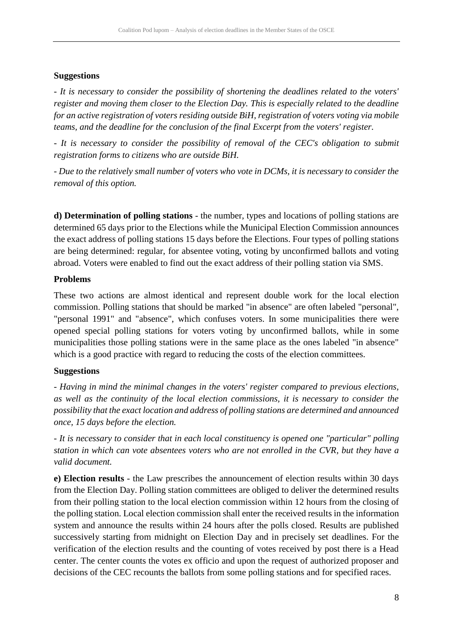### **Suggestions**

*- It is necessary to consider the possibility of shortening the deadlines related to the voters' register and moving them closer to the Election Day. This is especially related to the deadline for an active registration of voters residing outside BiH, registration of voters voting via mobile teams, and the deadline for the conclusion of the final Excerpt from the voters' register.*

*- It is necessary to consider the possibility of removal of the CEC's obligation to submit registration forms to citizens who are outside BiH.*

*- Due to the relatively small number of voters who vote in DCMs, it is necessary to consider the removal of this option.*

**d) Determination of polling stations** - the number, types and locations of polling stations are determined 65 days prior to the Elections while the Municipal Election Commission announces the exact address of polling stations 15 days before the Elections. Four types of polling stations are being determined: regular, for absentee voting, voting by unconfirmed ballots and voting abroad. Voters were enabled to find out the exact address of their polling station via SMS.

### **Problems**

These two actions are almost identical and represent double work for the local election commission. Polling stations that should be marked "in absence" are often labeled "personal", "personal 1991" and "absence", which confuses voters. In some municipalities there were opened special polling stations for voters voting by unconfirmed ballots, while in some municipalities those polling stations were in the same place as the ones labeled "in absence" which is a good practice with regard to reducing the costs of the election committees.

### **Suggestions**

*- Having in mind the minimal changes in the voters' register compared to previous elections, as well as the continuity of the local election commissions, it is necessary to consider the possibility that the exact location and address of polling stations are determined and announced once, 15 days before the election.*

*- It is necessary to consider that in each local constituency is opened one "particular" polling station in which can vote absentees voters who are not enrolled in the CVR, but they have a valid document.*

**e) Election results** - the Law prescribes the announcement of election results within 30 days from the Election Day. Polling station committees are obliged to deliver the determined results from their polling station to the local election commission within 12 hours from the closing of the polling station. Local election commission shall enter the received results in the information system and announce the results within 24 hours after the polls closed. Results are published successively starting from midnight on Election Day and in precisely set deadlines. For the verification of the election results and the counting of votes received by post there is a Head center. The center counts the votes ex officio and upon the request of authorized proposer and decisions of the CEC recounts the ballots from some polling stations and for specified races.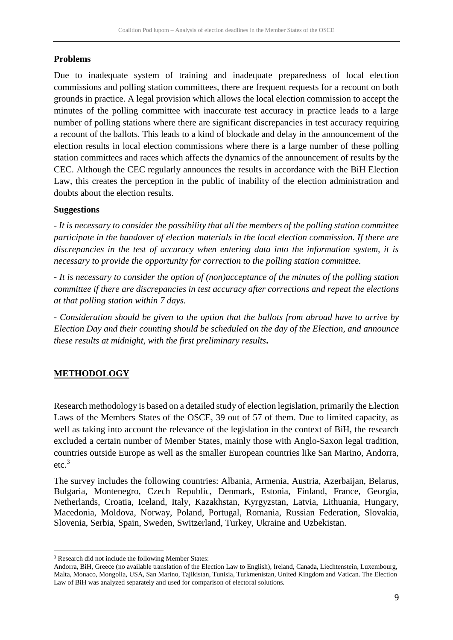# **Problems**

Due to inadequate system of training and inadequate preparedness of local election commissions and polling station committees, there are frequent requests for a recount on both grounds in practice. A legal provision which allows the local election commission to accept the minutes of the polling committee with inaccurate test accuracy in practice leads to a large number of polling stations where there are significant discrepancies in test accuracy requiring a recount of the ballots. This leads to a kind of blockade and delay in the announcement of the election results in local election commissions where there is a large number of these polling station committees and races which affects the dynamics of the announcement of results by the CEC. Although the CEC regularly announces the results in accordance with the BiH Election Law, this creates the perception in the public of inability of the election administration and doubts about the election results.

### **Suggestions**

*- It is necessary to consider the possibility that all the members of the polling station committee participate in the handover of election materials in the local election commission. If there are discrepancies in the test of accuracy when entering data into the information system, it is necessary to provide the opportunity for correction to the polling station committee.*

*- It is necessary to consider the option of (non)acceptance of the minutes of the polling station committee if there are discrepancies in test accuracy after corrections and repeat the elections at that polling station within 7 days.*

*- Consideration should be given to the option that the ballots from abroad have to arrive by Election Day and their counting should be scheduled on the day of the Election, and announce these results at midnight, with the first preliminary results***.**

# **METHODOLOGY**

1

Research methodology is based on a detailed study of election legislation, primarily the Election Laws of the Members States of the OSCE, 39 out of 57 of them. Due to limited capacity, as well as taking into account the relevance of the legislation in the context of BiH, the research excluded a certain number of Member States, mainly those with Anglo-Saxon legal tradition, countries outside Europe as well as the smaller European countries like San Marino, Andorra, etc. 3

The survey includes the following countries: Albania, Armenia, Austria, Azerbaijan, Belarus, Bulgaria, Montenegro, Czech Republic, Denmark, Estonia, Finland, France, Georgia, Netherlands, Croatia, Iceland, Italy, Kazakhstan, Kyrgyzstan, Latvia, Lithuania, Hungary, Macedonia, Moldova, Norway, Poland, Portugal, Romania, Russian Federation, Slovakia, Slovenia, Serbia, Spain, Sweden, Switzerland, Turkey, Ukraine and Uzbekistan.

<sup>&</sup>lt;sup>3</sup> Research did not include the following Member States:

Andorra, BiH, Greece (no available translation of the Election Law to English), Ireland, Canada, Liechtenstein, Luxembourg, Malta, Monaco, Mongolia, USA, San Marino, Tajikistan, Tunisia, Turkmenistan, United Kingdom and Vatican. The Election Law of BiH was analyzed separately and used for comparison of electoral solutions.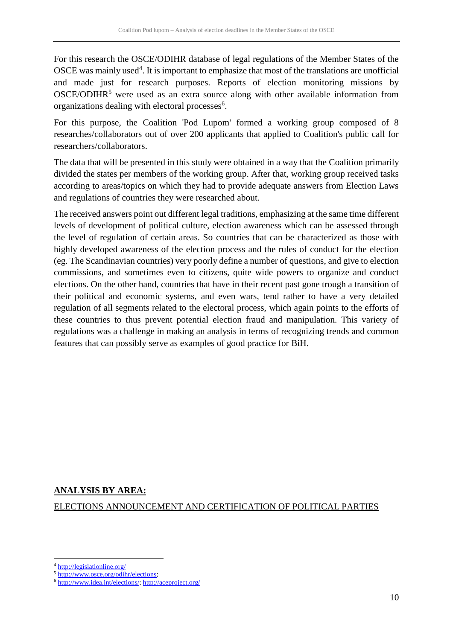For this research the OSCE/ODIHR database of legal regulations of the Member States of the OSCE was mainly used<sup>4</sup>. It is important to emphasize that most of the translations are unofficial and made just for research purposes. Reports of election monitoring missions by  $OSCE/ODHR<sup>5</sup>$  were used as an extra source along with other available information from organizations dealing with electoral processes<sup>6</sup>.

For this purpose, the Coalition 'Pod Lupom' formed a working group composed of 8 researches/collaborators out of over 200 applicants that applied to Coalition's public call for researchers/collaborators.

The data that will be presented in this study were obtained in a way that the Coalition primarily divided the states per members of the working group. After that, working group received tasks according to areas/topics on which they had to provide adequate answers from Election Laws and regulations of countries they were researched about.

The received answers point out different legal traditions, emphasizing at the same time different levels of development of political culture, election awareness which can be assessed through the level of regulation of certain areas. So countries that can be characterized as those with highly developed awareness of the election process and the rules of conduct for the election (eg. The Scandinavian countries) very poorly define a number of questions, and give to election commissions, and sometimes even to citizens, quite wide powers to organize and conduct elections. On the other hand, countries that have in their recent past gone trough a transition of their political and economic systems, and even wars, tend rather to have a very detailed regulation of all segments related to the electoral process, which again points to the efforts of these countries to thus prevent potential election fraud and manipulation. This variety of regulations was a challenge in making an analysis in terms of recognizing trends and common features that can possibly serve as examples of good practice for BiH.

# **ANALYSIS BY AREA:**

ELECTIONS ANNOUNCEMENT AND CERTIFICATION OF POLITICAL PARTIES

1

<sup>4</sup> <http://legislationline.org/>

<sup>5</sup> [http://www.osce.org/odihr/elections;](http://www.osce.org/odihr/elections)

<sup>6</sup> [http://www.idea.int/elections/;](http://www.idea.int/elections/)<http://aceproject.org/>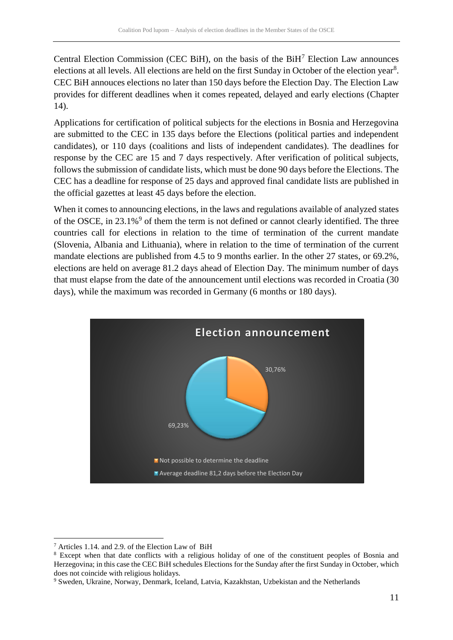Central Election Commission (CEC BiH), on the basis of the  $BiH<sup>7</sup>$  Election Law announces elections at all levels. All elections are held on the first Sunday in October of the election year<sup>8</sup>. CEC BiH annouces elections no later than 150 days before the Election Day. The Election Law provides for different deadlines when it comes repeated, delayed and early elections (Chapter 14).

Applications for certification of political subjects for the elections in Bosnia and Herzegovina are submitted to the CEC in 135 days before the Elections (political parties and independent candidates), or 110 days (coalitions and lists of independent candidates). The deadlines for response by the CEC are 15 and 7 days respectively. After verification of political subjects, follows the submission of candidate lists, which must be done 90 days before the Elections. The CEC has a deadline for response of 25 days and approved final candidate lists are published in the official gazettes at least 45 days before the election.

When it comes to announcing elections, in the laws and regulations available of analyzed states of the OSCE, in  $23.1\%$ <sup>9</sup> of them the term is not defined or cannot clearly identified. The three countries call for elections in relation to the time of termination of the current mandate (Slovenia, Albania and Lithuania), where in relation to the time of termination of the current mandate elections are published from 4.5 to 9 months earlier. In the other 27 states, or 69.2%, elections are held on average 81.2 days ahead of Election Day. The minimum number of days that must elapse from the date of the announcement until elections was recorded in Croatia (30 days), while the maximum was recorded in Germany (6 months or 180 days).



<u>.</u>

<sup>7</sup> Articles 1.14. and 2.9. of the Election Law of BiH

<sup>8</sup> Except when that date conflicts with a religious holiday of one of the constituent peoples of Bosnia and Herzegovina; in this case the CEC BiH schedules Elections for the Sunday after the first Sunday in October, which does not coincide with religious holidays.

<sup>9</sup> Sweden, Ukraine, Norway, Denmark, Iceland, Latvia, Kazakhstan, Uzbekistan and the Netherlands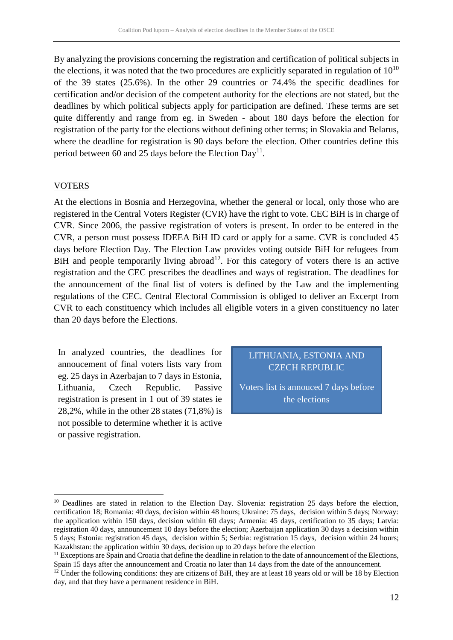By analyzing the provisions concerning the registration and certification of political subjects in the elections, it was noted that the two procedures are explicitly separated in regulation of  $10^{10}$ of the 39 states (25.6%). In the other 29 countries or 74.4% the specific deadlines for certification and/or decision of the competent authority for the elections are not stated, but the deadlines by which political subjects apply for participation are defined. These terms are set quite differently and range from eg. in Sweden - about 180 days before the election for registration of the party for the elections without defining other terms; in Slovakia and Belarus, where the deadline for registration is 90 days before the election. Other countries define this period between 60 and 25 days before the Election Day<sup>11</sup>.

#### **VOTERS**

1

At the elections in Bosnia and Herzegovina, whether the general or local, only those who are registered in the Central Voters Register (CVR) have the right to vote. CEC BiH is in charge of CVR. Since 2006, the passive registration of voters is present. In order to be entered in the CVR, a person must possess IDEEA BiH ID card or apply for a same. CVR is concluded 45 days before Election Day. The Election Law provides voting outside BiH for refugees from BiH and people temporarily living abroad<sup>12</sup>. For this category of voters there is an active registration and the CEC prescribes the deadlines and ways of registration. The deadlines for the announcement of the final list of voters is defined by the Law and the implementing regulations of the CEC. Central Electoral Commission is obliged to deliver an Excerpt from CVR to each constituency which includes all eligible voters in a given constituency no later than 20 days before the Elections.

In analyzed countries, the deadlines for annoucement of final voters lists vary from eg. 25 days in Azerbajan to 7 days in Estonia, Lithuania, Czech Republic. Passive registration is present in 1 out of 39 states ie 28,2%, while in the other 28 states (71,8%) is not possible to determine whether it is active or passive registration.

# LITHUANIA, ESTONIA AND CZECH REPUBLIC

Voters list is annouced 7 days before the elections

<sup>&</sup>lt;sup>10</sup> Deadlines are stated in relation to the Election Day. Slovenia: registration 25 days before the election, certification 18; Romania: 40 days, decision within 48 hours; Ukraine: 75 days, decision within 5 days; Norway: the application within 150 days, decision within 60 days; Armenia: 45 days, certification to 35 days; Latvia: registration 40 days, announcement 10 days before the election; Azerbaijan application 30 days a decision within 5 days; Estonia: registration 45 days, decision within 5; Serbia: registration 15 days, decision within 24 hours; Kazakhstan: the application within 30 days, decision up to 20 days before the election

<sup>&</sup>lt;sup>11</sup> Exceptions are Spain and Croatia that define the deadline in relation to the date of announcement of the Elections, Spain 15 days after the announcement and Croatia no later than 14 days from the date of the announcement.

 $12$  Under the following conditions: they are citizens of BiH, they are at least 18 years old or will be 18 by Election day, and that they have a permanent residence in BiH.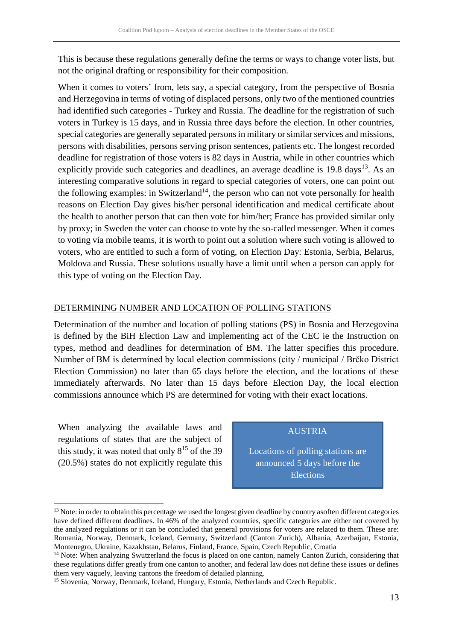This is because these regulations generally define the terms or ways to change voter lists, but not the original drafting or responsibility for their composition.

When it comes to voters' from, lets say, a special category, from the perspective of Bosnia and Herzegovina in terms of voting of displaced persons, only two of the mentioned countries had identified such categories - Turkey and Russia. The deadline for the registration of such voters in Turkey is 15 days, and in Russia three days before the election. In other countries, special categories are generally separated persons in military or similar services and missions, persons with disabilities, persons serving prison sentences, patients etc. The longest recorded deadline for registration of those voters is 82 days in Austria, while in other countries which explicitly provide such categories and deadlines, an average deadline is  $19.8 \text{ days}^{13}$ . As an interesting comparative solutions in regard to special categories of voters, one can point out the following examples: in Switzerland<sup>14</sup>, the person who can not vote personally for health reasons on Election Day gives his/her personal identification and medical certificate about the health to another person that can then vote for him/her; France has provided similar only by proxy; in Sweden the voter can choose to vote by the so-called messenger. When it comes to voting via mobile teams, it is worth to point out a solution where such voting is allowed to voters, who are entitled to such a form of voting, on Election Day: Estonia, Serbia, Belarus, Moldova and Russia. These solutions usually have a limit until when a person can apply for this type of voting on the Election Day.

## DETERMINING NUMBER AND LOCATION OF POLLING STATIONS

Determination of the number and location of polling stations (PS) in Bosnia and Herzegovina is defined by the BiH Election Law and implementing act of the CEC ie the Instruction on types, method and deadlines for determination of BM. The latter specifies this procedure. Number of BM is determined by local election commissions (city / municipal / Brčko District Election Commission) no later than 65 days before the election, and the locations of these immediately afterwards. No later than 15 days before Election Day, the local election commissions announce which PS are determined for voting with their exact locations.

When analyzing the available laws and regulations of states that are the subject of this study, it was noted that only  $8^{15}$  of the 39 (20.5%) states do not explicitly regulate this

1

#### AUSTRIA

Locations of polling stations are announced 5 days before the Elections

<sup>&</sup>lt;sup>13</sup> Note: in order to obtain this percentage we used the longest given deadline by country asoften different categories have defined different deadlines. In 46% of the analyzed countries, specific categories are either not covered by the analyzed regulations or it can be concluded that general provisions for voters are related to them. These are: Romania, Norway, Denmark, Iceland, Germany, Switzerland (Canton Zurich), Albania, Azerbaijan, Estonia, Montenegro, Ukraine, Kazakhstan, Belarus, Finland, France, Spain, Czech Republic, Croatia

<sup>&</sup>lt;sup>14</sup> Note: When analyzing Swutzerland the focus is placed on one canton, namely Canton Zurich, considering that these regulations differ greatly from one canton to another, and federal law does not define these issues or defines them very vaguely, leaving cantons the freedom of detailed planning.

<sup>&</sup>lt;sup>15</sup> Slovenia, Norway, Denmark, Iceland, Hungary, Estonia, Netherlands and Czech Republic.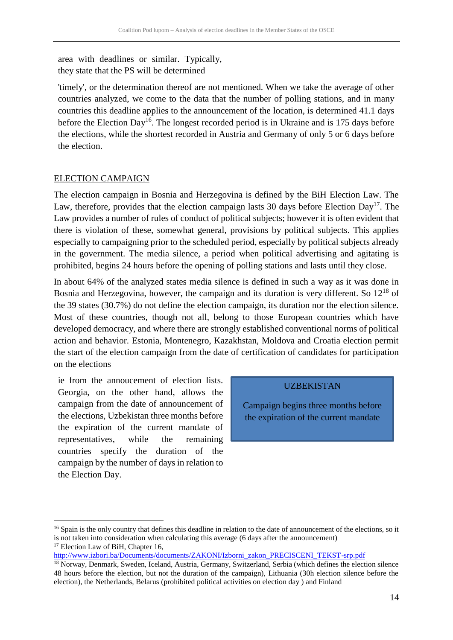area with deadlines or similar. Typically, they state that the PS will be determined

'timely', or the determination thereof are not mentioned. When we take the average of other countries analyzed, we come to the data that the number of polling stations, and in many countries this deadline applies to the announcement of the location, is determined 41.1 days before the Election Day<sup>16</sup>. The longest recorded period is in Ukraine and is 175 days before the elections, while the shortest recorded in Austria and Germany of only 5 or 6 days before the election.

## ELECTION CAMPAIGN

The election campaign in Bosnia and Herzegovina is defined by the BiH Election Law. The Law, therefore, provides that the election campaign lasts 30 days before Election  $Day<sup>17</sup>$ . The Law provides a number of rules of conduct of political subjects; however it is often evident that there is violation of these, somewhat general, provisions by political subjects. This applies especially to campaigning prior to the scheduled period, especially by political subjects already in the government. The media silence, a period when political advertising and agitating is prohibited, begins 24 hours before the opening of polling stations and lasts until they close.

In about 64% of the analyzed states media silence is defined in such a way as it was done in Bosnia and Herzegovina, however, the campaign and its duration is very different. So  $12^{18}$  of the 39 states (30.7%) do not define the election campaign, its duration nor the election silence. Most of these countries, though not all, belong to those European countries which have developed democracy, and where there are strongly established conventional norms of political action and behavior. Estonia, Montenegro, Kazakhstan, Moldova and Croatia election permit the start of the election campaign from the date of certification of candidates for participation on the elections

ie from the annoucement of election lists. Georgia, on the other hand, allows the campaign from the date of announcement of the elections, Uzbekistan three months before the expiration of the current mandate of representatives, while the remaining countries specify the duration of the campaign by the number of days in relation to the Election Day.

1

### UZBEKISTAN

Campaign begins three months before the expiration of the current mandate

 $16$  Spain is the only country that defines this deadline in relation to the date of announcement of the elections, so it is not taken into consideration when calculating this average (6 days after the announcement) <sup>17</sup> Election Law of BiH, Chapter 16,

[http://www.izbori.ba/Documents/documents/ZAKONI/Izborni\\_zakon\\_PRECISCENI\\_TEKST-srp.pdf](http://www.izbori.ba/Documents/documents/ZAKONI/Izborni_zakon_PRECISCENI_TEKST-srp.pdf)

<sup>&</sup>lt;sup>18</sup> Norway, Denmark, Sweden, Iceland, Austria, Germany, Switzerland, Serbia (which defines the election silence 48 hours before the election, but not the duration of the campaign), Lithuania (30h election silence before the election), the Netherlands, Belarus (prohibited political activities on election day ) and Finland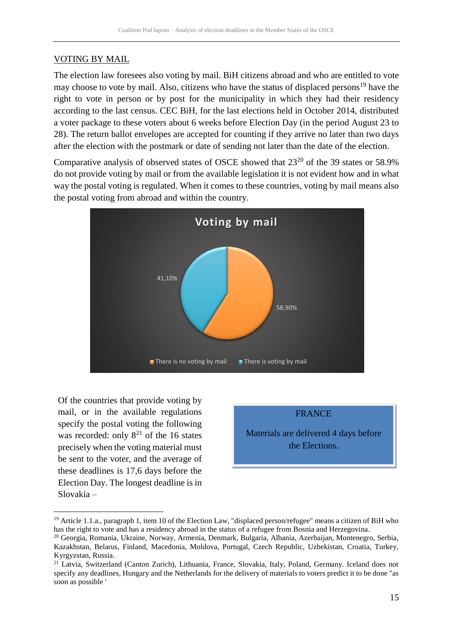# VOTING BY MAIL

The election law foresees also voting by mail. BiH citizens abroad and who are entitled to vote may choose to vote by mail. Also, citizens who have the status of displaced persons<sup>19</sup> have the right to vote in person or by post for the municipality in which they had their residency according to the last census. CEC BiH, for the last elections held in October 2014, distributed a voter package to these voters about 6 weeks before Election Day (in the period August 23 to 28). The return ballot envelopes are accepted for counting if they arrive no later than two days after the election with the postmark or date of sending not later than the date of the election.

Comparative analysis of observed states of OSCE showed that  $23^{20}$  of the 39 states or 58.9% do not provide voting by mail or from the available legislation it is not evident how and in what way the postal voting is regulated. When it comes to these countries, voting by mail means also the postal voting from abroad and within the country.



Of the countries that provide voting by mail, or in the available regulations specify the postal voting the following was recorded: only  $8^{21}$  of the 16 states precisely when the voting material must be sent to the voter, and the average of these deadlines is 17,6 days before the Election Day. The longest deadline is in Slovakia –

<u>.</u>



<sup>&</sup>lt;sup>19</sup> Article 1.1.a., paragraph 1, item 10 of the Election Law, "displaced person/refugee" means a citizen of BiH who has the right to vote and has a residency abroad in the status of a refugee from Bosnia and Herzegovina.

<sup>20</sup> Georgia, Romania, Ukraine, Norway, Armenia, Denmark, Bulgaria, Albania, Azerbaijan, Montenegro, Serbia, Kazakhstan, Belarus, Finland, Macedonia, Moldova, Portugal, Czech Republic, Uzbekistan, Croatia, Turkey, Kyrgyzstan, Russia.

<sup>21</sup> Latvia, Switzerland (Canton Zurich), Lithuania, France, Slovakia, Italy, Poland, Germany. Iceland does not specify any deadlines, Hungary and the Netherlands for the delivery of materials to voters predict it to be done "as soon as possible '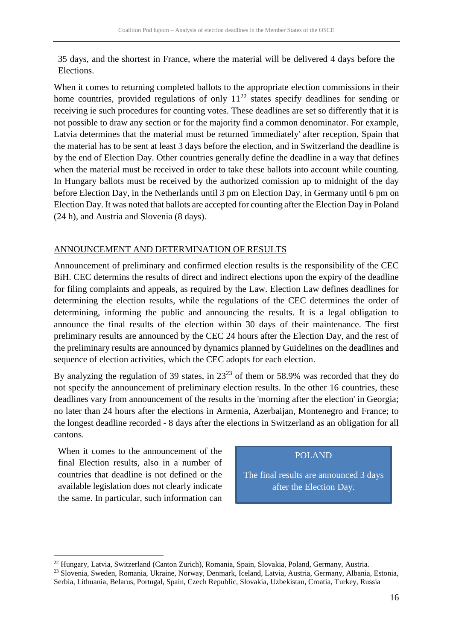35 days, and the shortest in France, where the material will be delivered 4 days before the Elections.

When it comes to returning completed ballots to the appropriate election commissions in their home countries, provided regulations of only  $11^{22}$  states specify deadlines for sending or receiving ie such procedures for counting votes. These deadlines are set so differently that it is not possible to draw any section or for the majority find a common denominator. For example, Latvia determines that the material must be returned 'immediately' after reception, Spain that the material has to be sent at least 3 days before the election, and in Switzerland the deadline is by the end of Election Day. Other countries generally define the deadline in a way that defines when the material must be received in order to take these ballots into account while counting. In Hungary ballots must be received by the authorized comission up to midnight of the day before Election Day, in the Netherlands until 3 pm on Election Day, in Germany until 6 pm on Election Day. It was noted that ballots are accepted for counting after the Election Day in Poland (24 h), and Austria and Slovenia (8 days).

## ANNOUNCEMENT AND DETERMINATION OF RESULTS

Announcement of preliminary and confirmed election results is the responsibility of the CEC BiH. CEC determins the results of direct and indirect elections upon the expiry of the deadline for filing complaints and appeals, as required by the Law. Election Law defines deadlines for determining the election results, while the regulations of the CEC determines the order of determining, informing the public and announcing the results. It is a legal obligation to announce the final results of the election within 30 days of their maintenance. The first preliminary results are announced by the CEC 24 hours after the Election Day, and the rest of the preliminary results are announced by dynamics planned by Guidelines on the deadlines and sequence of election activities, which the CEC adopts for each election.

By analyzing the regulation of 39 states, in  $23^{23}$  of them or 58.9% was recorded that they do not specify the announcement of preliminary election results. In the other 16 countries, these deadlines vary from announcement of the results in the 'morning after the election' in Georgia; no later than 24 hours after the elections in Armenia, Azerbaijan, Montenegro and France; to the longest deadline recorded - 8 days after the elections in Switzerland as an obligation for all cantons.

When it comes to the announcement of the final Election results, also in a number of countries that deadline is not defined or the available legislation does not clearly indicate the same. In particular, such information can

1

### POLAND

The final results are announced 3 days after the Election Day.

<sup>22</sup> Hungary, Latvia, Switzerland (Canton Zurich), Romania, Spain, Slovakia, Poland, Germany, Austria.

<sup>23</sup> Slovenia, Sweden, Romania, Ukraine, Norway, Denmark, Iceland, Latvia, Austria, Germany, Albania, Estonia, Serbia, Lithuania, Belarus, Portugal, Spain, Czech Republic, Slovakia, Uzbekistan, Croatia, Turkey, Russia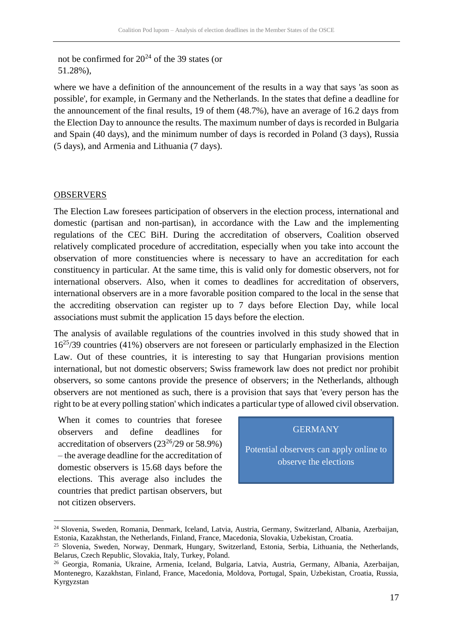not be confirmed for  $20^{24}$  of the 39 states (or 51.28%),

where we have a definition of the announcement of the results in a way that says 'as soon as possible', for example, in Germany and the Netherlands. In the states that define a deadline for the announcement of the final results, 19 of them (48.7%), have an average of 16.2 days from the Election Day to announce the results. The maximum number of days is recorded in Bulgaria and Spain (40 days), and the minimum number of days is recorded in Poland (3 days), Russia (5 days), and Armenia and Lithuania (7 days).

#### **OBSERVERS**

1

The Election Law foresees participation of observers in the election process, international and domestic (partisan and non-partisan), in accordance with the Law and the implementing regulations of the CEC BiH. During the accreditation of observers, Coalition observed relatively complicated procedure of accreditation, especially when you take into account the observation of more constituencies where is necessary to have an accreditation for each constituency in particular. At the same time, this is valid only for domestic observers, not for international observers. Also, when it comes to deadlines for accreditation of observers, international observers are in a more favorable position compared to the local in the sense that the accrediting observation can register up to 7 days before Election Day, while local associations must submit the application 15 days before the election.

The analysis of available regulations of the countries involved in this study showed that in 16<sup>25</sup>/39 countries (41%) observers are not foreseen or particularly emphasized in the Election Law. Out of these countries, it is interesting to say that Hungarian provisions mention international, but not domestic observers; Swiss framework law does not predict nor prohibit observers, so some cantons provide the presence of observers; in the Netherlands, although observers are not mentioned as such, there is a provision that says that 'every person has the right to be at every polling station' which indicates a particular type of allowed civil observation.

When it comes to countries that foresee observers and define deadlines for accreditation of observers  $(23^{26}/29)$  or 58.9%) – the average deadline for the accreditation of domestic observers is 15.68 days before the elections. This average also includes the countries that predict partisan observers, but not citizen observers.

#### **GERMANY**

Potential observers can apply online to observe the elections

<sup>24</sup> Slovenia, Sweden, Romania, Denmark, Iceland, Latvia, Austria, Germany, Switzerland, Albania, Azerbaijan, Estonia, Kazakhstan, the Netherlands, Finland, France, Macedonia, Slovakia, Uzbekistan, Croatia.

<sup>25</sup> Slovenia, Sweden, Norway, Denmark, Hungary, Switzerland, Estonia, Serbia, Lithuania, the Netherlands, Belarus, Czech Republic, Slovakia, Italy, Turkey, Poland.

<sup>26</sup> Georgia, Romania, Ukraine, Armenia, Iceland, Bulgaria, Latvia, Austria, Germany, Albania, Azerbaijan, Montenegro, Kazakhstan, Finland, France, Macedonia, Moldova, Portugal, Spain, Uzbekistan, Croatia, Russia, Kyrgyzstan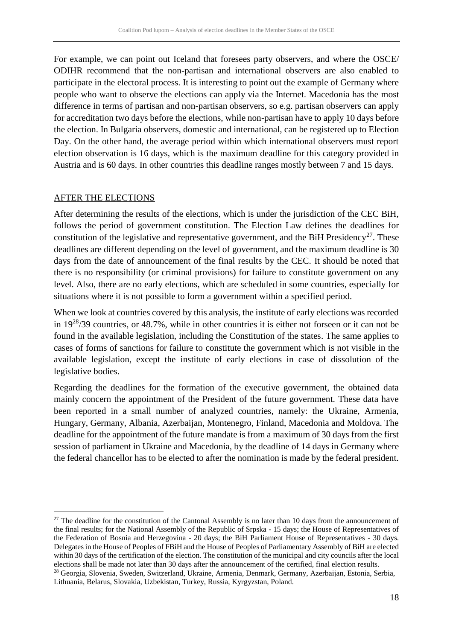For example, we can point out Iceland that foresees party observers, and where the OSCE/ ODIHR recommend that the non-partisan and international observers are also enabled to participate in the electoral process. It is interesting to point out the example of Germany where people who want to observe the elections can apply via the Internet. Macedonia has the most difference in terms of partisan and non-partisan observers, so e.g. partisan observers can apply for accreditation two days before the elections, while non-partisan have to apply 10 days before the election. In Bulgaria observers, domestic and international, can be registered up to Election Day. On the other hand, the average period within which international observers must report election observation is 16 days, which is the maximum deadline for this category provided in Austria and is 60 days. In other countries this deadline ranges mostly between 7 and 15 days.

#### AFTER THE ELECTIONS

<u>.</u>

After determining the results of the elections, which is under the jurisdiction of the CEC BiH, follows the period of government constitution. The Election Law defines the deadlines for constitution of the legislative and representative government, and the BiH Presidency<sup>27</sup>. These deadlines are different depending on the level of government, and the maximum deadline is 30 days from the date of announcement of the final results by the CEC. It should be noted that there is no responsibility (or criminal provisions) for failure to constitute government on any level. Also, there are no early elections, which are scheduled in some countries, especially for situations where it is not possible to form a government within a specified period.

When we look at countries covered by this analysis, the institute of early elections was recorded in 19<sup>28</sup>/39 countries, or 48.7%, while in other countries it is either not forseen or it can not be found in the available legislation, including the Constitution of the states. The same applies to cases of forms of sanctions for failure to constitute the government which is not visible in the available legislation, except the institute of early elections in case of dissolution of the legislative bodies.

Regarding the deadlines for the formation of the executive government, the obtained data mainly concern the appointment of the President of the future government. These data have been reported in a small number of analyzed countries, namely: the Ukraine, Armenia, Hungary, Germany, Albania, Azerbaijan, Montenegro, Finland, Macedonia and Moldova. The deadline for the appointment of the future mandate is from a maximum of 30 days from the first session of parliament in Ukraine and Macedonia, by the deadline of 14 days in Germany where the federal chancellor has to be elected to after the nomination is made by the federal president.

 $27$  The deadline for the constitution of the Cantonal Assembly is no later than 10 days from the announcement of the final results; for the National Assembly of the Republic of Srpska - 15 days; the House of Representatives of the Federation of Bosnia and Herzegovina - 20 days; the BiH Parliament House of Representatives - 30 days. Delegates in the House of Peoples of FBiH and the House of Peoples of Parliamentary Assembly of BiH are elected within 30 days of the certification of the election. The constitution of the municipal and city councils after the local elections shall be made not later than 30 days after the announcement of the certified, final election results.

<sup>28</sup> Georgia, Slovenia, Sweden, Switzerland, Ukraine, Armenia, Denmark, Germany, Azerbaijan, Estonia, Serbia, Lithuania, Belarus, Slovakia, Uzbekistan, Turkey, Russia, Kyrgyzstan, Poland.